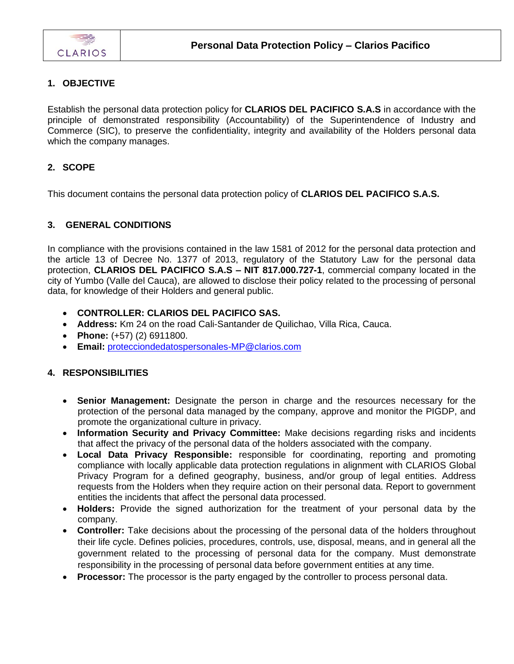## **1. OBJECTIVE**

Establish the personal data protection policy for **CLARIOS DEL PACIFICO S.A.S** in accordance with the principle of demonstrated responsibility (Accountability) of the Superintendence of Industry and Commerce (SIC), to preserve the confidentiality, integrity and availability of the Holders personal data which the company manages.

## **2. SCOPE**

This document contains the personal data protection policy of **CLARIOS DEL PACIFICO S.A.S.**

## **3. GENERAL CONDITIONS**

In compliance with the provisions contained in the law 1581 of 2012 for the personal data protection and the article 13 of Decree No. 1377 of 2013, regulatory of the Statutory Law for the personal data protection, **CLARIOS DEL PACIFICO S.A.S – NIT 817.000.727-1**, commercial company located in the city of Yumbo (Valle del Cauca), are allowed to disclose their policy related to the processing of personal data, for knowledge of their Holders and general public.

- **CONTROLLER: CLARIOS DEL PACIFICO SAS.**
- **Address:** Km 24 on the road Cali-Santander de Quilichao, Villa Rica, Cauca.
- **Phone:** (+57) (2) 6911800.
- **Email:** [protecciondedatospersonales-MP@clarios.com](mailto:protecciondedatospersonales-MP@clarios.com)

## **4. RESPONSIBILITIES**

- **Senior Management:** Designate the person in charge and the resources necessary for the protection of the personal data managed by the company, approve and monitor the PIGDP, and promote the organizational culture in privacy.
- **Information Security and Privacy Committee:** Make decisions regarding risks and incidents that affect the privacy of the personal data of the holders associated with the company.
- **Local Data Privacy Responsible:** responsible for coordinating, reporting and promoting compliance with locally applicable data protection regulations in alignment with CLARIOS Global Privacy Program for a defined geography, business, and/or group of legal entities. Address requests from the Holders when they require action on their personal data. Report to government entities the incidents that affect the personal data processed.
- **Holders:** Provide the signed authorization for the treatment of your personal data by the company.
- **Controller:** Take decisions about the processing of the personal data of the holders throughout their life cycle. Defines policies, procedures, controls, use, disposal, means, and in general all the government related to the processing of personal data for the company. Must demonstrate responsibility in the processing of personal data before government entities at any time.
- **Processor:** The processor is the party engaged by the controller to process personal data.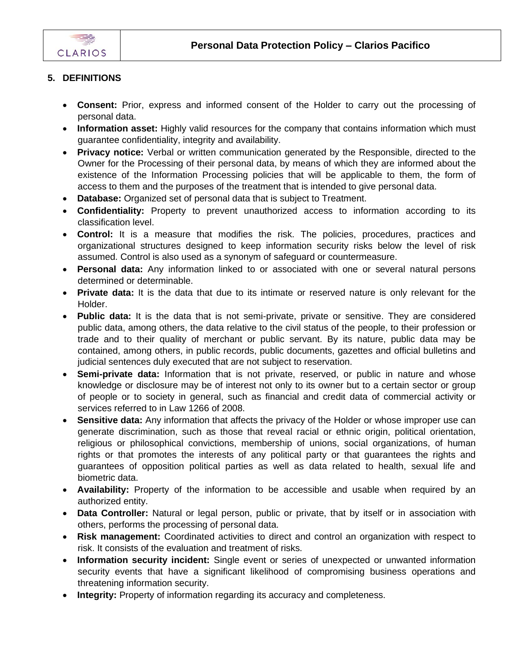

# **5. DEFINITIONS**

- **Consent:** Prior, express and informed consent of the Holder to carry out the processing of personal data.
- **Information asset:** Highly valid resources for the company that contains information which must guarantee confidentiality, integrity and availability.
- **Privacy notice:** Verbal or written communication generated by the Responsible, directed to the Owner for the Processing of their personal data, by means of which they are informed about the existence of the Information Processing policies that will be applicable to them, the form of access to them and the purposes of the treatment that is intended to give personal data.
- **Database:** Organized set of personal data that is subject to Treatment.
- **Confidentiality:** Property to prevent unauthorized access to information according to its classification level.
- **Control:** It is a measure that modifies the risk. The policies, procedures, practices and organizational structures designed to keep information security risks below the level of risk assumed. Control is also used as a synonym of safeguard or countermeasure.
- **Personal data:** Any information linked to or associated with one or several natural persons determined or determinable.
- **Private data:** It is the data that due to its intimate or reserved nature is only relevant for the Holder.
- **Public data:** It is the data that is not semi-private, private or sensitive. They are considered public data, among others, the data relative to the civil status of the people, to their profession or trade and to their quality of merchant or public servant. By its nature, public data may be contained, among others, in public records, public documents, gazettes and official bulletins and judicial sentences duly executed that are not subject to reservation.
- **Semi-private data:** Information that is not private, reserved, or public in nature and whose knowledge or disclosure may be of interest not only to its owner but to a certain sector or group of people or to society in general, such as financial and credit data of commercial activity or services referred to in Law 1266 of 2008.
- **Sensitive data:** Any information that affects the privacy of the Holder or whose improper use can generate discrimination, such as those that reveal racial or ethnic origin, political orientation, religious or philosophical convictions, membership of unions, social organizations, of human rights or that promotes the interests of any political party or that guarantees the rights and guarantees of opposition political parties as well as data related to health, sexual life and biometric data.
- **Availability:** Property of the information to be accessible and usable when required by an authorized entity.
- **Data Controller:** Natural or legal person, public or private, that by itself or in association with others, performs the processing of personal data.
- **Risk management:** Coordinated activities to direct and control an organization with respect to risk. It consists of the evaluation and treatment of risks.
- **Information security incident:** Single event or series of unexpected or unwanted information security events that have a significant likelihood of compromising business operations and threatening information security.
- **Integrity:** Property of information regarding its accuracy and completeness.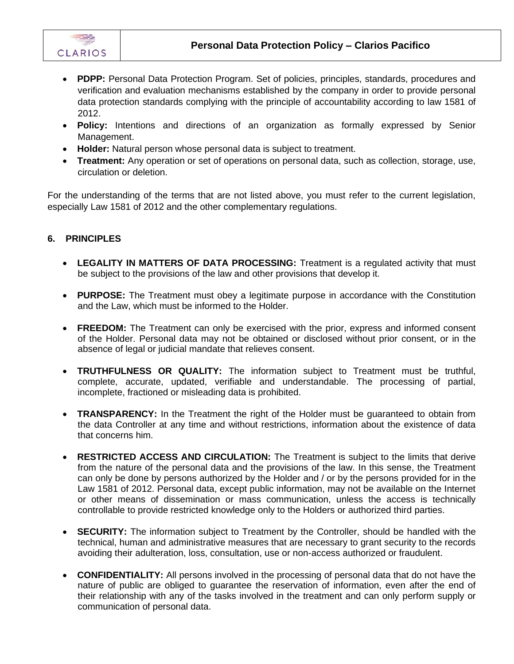

- **PDPP:** Personal Data Protection Program. Set of policies, principles, standards, procedures and verification and evaluation mechanisms established by the company in order to provide personal data protection standards complying with the principle of accountability according to law 1581 of 2012.
- **Policy:** Intentions and directions of an organization as formally expressed by Senior Management.
- **Holder:** Natural person whose personal data is subject to treatment.
- **Treatment:** Any operation or set of operations on personal data, such as collection, storage, use, circulation or deletion.

For the understanding of the terms that are not listed above, you must refer to the current legislation, especially Law 1581 of 2012 and the other complementary regulations.

#### **6. PRINCIPLES**

- LEGALITY IN MATTERS OF DATA PROCESSING: Treatment is a regulated activity that must be subject to the provisions of the law and other provisions that develop it.
- **PURPOSE:** The Treatment must obey a legitimate purpose in accordance with the Constitution and the Law, which must be informed to the Holder.
- **FREEDOM:** The Treatment can only be exercised with the prior, express and informed consent of the Holder. Personal data may not be obtained or disclosed without prior consent, or in the absence of legal or judicial mandate that relieves consent.
- **TRUTHFULNESS OR QUALITY:** The information subject to Treatment must be truthful, complete, accurate, updated, verifiable and understandable. The processing of partial, incomplete, fractioned or misleading data is prohibited.
- **TRANSPARENCY:** In the Treatment the right of the Holder must be guaranteed to obtain from the data Controller at any time and without restrictions, information about the existence of data that concerns him.
- **RESTRICTED ACCESS AND CIRCULATION:** The Treatment is subject to the limits that derive from the nature of the personal data and the provisions of the law. In this sense, the Treatment can only be done by persons authorized by the Holder and / or by the persons provided for in the Law 1581 of 2012. Personal data, except public information, may not be available on the Internet or other means of dissemination or mass communication, unless the access is technically controllable to provide restricted knowledge only to the Holders or authorized third parties.
- **SECURITY:** The information subject to Treatment by the Controller, should be handled with the technical, human and administrative measures that are necessary to grant security to the records avoiding their adulteration, loss, consultation, use or non-access authorized or fraudulent.
- **CONFIDENTIALITY:** All persons involved in the processing of personal data that do not have the nature of public are obliged to guarantee the reservation of information, even after the end of their relationship with any of the tasks involved in the treatment and can only perform supply or communication of personal data.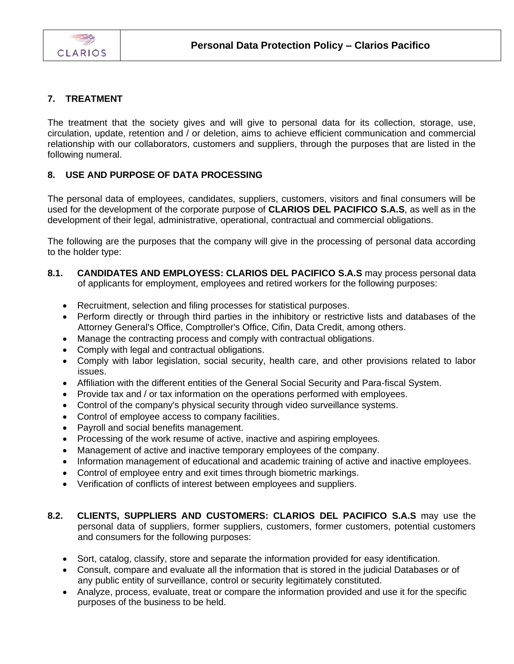

## **7. TREATMENT**

The treatment that the society gives and will give to personal data for its collection, storage, use, circulation, update, retention and / or deletion, aims to achieve efficient communication and commercial relationship with our collaborators, customers and suppliers, through the purposes that are listed in the following numeral.

## **8. USE AND PURPOSE OF DATA PROCESSING**

The personal data of employees, candidates, suppliers, customers, visitors and final consumers will be used for the development of the corporate purpose of **CLARIOS DEL PACIFICO S.A.S**, as well as in the development of their legal, administrative, operational, contractual and commercial obligations.

The following are the purposes that the company will give in the processing of personal data according to the holder type:

- **8.1. CANDIDATES AND EMPLOYESS: CLARIOS DEL PACIFICO S.A.S** may process personal data of applicants for employment, employees and retired workers for the following purposes:
	- Recruitment, selection and filing processes for statistical purposes.
	- Perform directly or through third parties in the inhibitory or restrictive lists and databases of the Attorney General's Office, Comptroller's Office, Cifin, Data Credit, among others.
	- Manage the contracting process and comply with contractual obligations.
	- Comply with legal and contractual obligations.
	- Comply with labor legislation, social security, health care, and other provisions related to labor issues.
	- Affiliation with the different entities of the General Social Security and Para-fiscal System.
	- Provide tax and / or tax information on the operations performed with employees.
	- Control of the company's physical security through video surveillance systems.
	- Control of employee access to company facilities.
	- Payroll and social benefits management.
	- Processing of the work resume of active, inactive and aspiring employees.
	- Management of active and inactive temporary employees of the company.
	- Information management of educational and academic training of active and inactive employees.
	- Control of employee entry and exit times through biometric markings.
	- Verification of conflicts of interest between employees and suppliers.
- **8.2. CLIENTS, SUPPLIERS AND CUSTOMERS: CLARIOS DEL PACIFICO S.A.S** may use the personal data of suppliers, former suppliers, customers, former customers, potential customers and consumers for the following purposes:
	- Sort, catalog, classify, store and separate the information provided for easy identification.
	- Consult, compare and evaluate all the information that is stored in the judicial Databases or of any public entity of surveillance, control or security legitimately constituted.
	- Analyze, process, evaluate, treat or compare the information provided and use it for the specific purposes of the business to be held.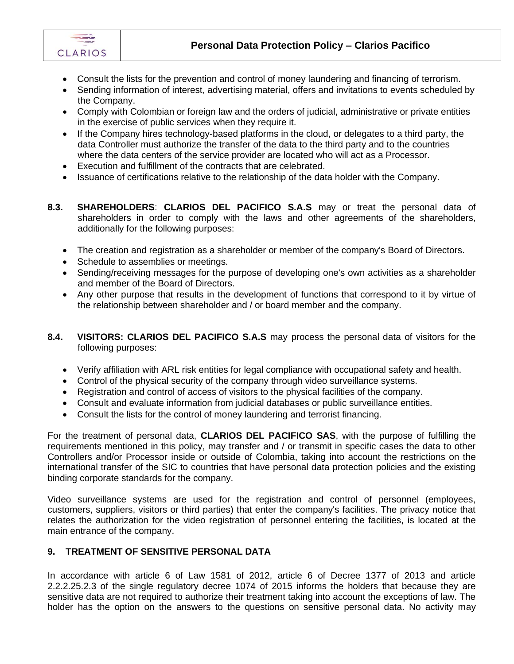

- Consult the lists for the prevention and control of money laundering and financing of terrorism.
- Sending information of interest, advertising material, offers and invitations to events scheduled by the Company.
- Comply with Colombian or foreign law and the orders of judicial, administrative or private entities in the exercise of public services when they require it.
- If the Company hires technology-based platforms in the cloud, or delegates to a third party, the data Controller must authorize the transfer of the data to the third party and to the countries where the data centers of the service provider are located who will act as a Processor.
- Execution and fulfillment of the contracts that are celebrated.
- Issuance of certifications relative to the relationship of the data holder with the Company.
- **8.3. SHAREHOLDERS**: **CLARIOS DEL PACIFICO S.A.S** may or treat the personal data of shareholders in order to comply with the laws and other agreements of the shareholders, additionally for the following purposes:
	- The creation and registration as a shareholder or member of the company's Board of Directors.
	- Schedule to assemblies or meetings.
	- Sending/receiving messages for the purpose of developing one's own activities as a shareholder and member of the Board of Directors.
	- Any other purpose that results in the development of functions that correspond to it by virtue of the relationship between shareholder and / or board member and the company.
- **8.4. VISITORS: CLARIOS DEL PACIFICO S.A.S** may process the personal data of visitors for the following purposes:
	- Verify affiliation with ARL risk entities for legal compliance with occupational safety and health.
	- Control of the physical security of the company through video surveillance systems.
	- Registration and control of access of visitors to the physical facilities of the company.
	- Consult and evaluate information from judicial databases or public surveillance entities.
	- Consult the lists for the control of money laundering and terrorist financing.

For the treatment of personal data, **CLARIOS DEL PACIFICO SAS**, with the purpose of fulfilling the requirements mentioned in this policy, may transfer and / or transmit in specific cases the data to other Controllers and/or Processor inside or outside of Colombia, taking into account the restrictions on the international transfer of the SIC to countries that have personal data protection policies and the existing binding corporate standards for the company.

Video surveillance systems are used for the registration and control of personnel (employees, customers, suppliers, visitors or third parties) that enter the company's facilities. The privacy notice that relates the authorization for the video registration of personnel entering the facilities, is located at the main entrance of the company.

#### **9. TREATMENT OF SENSITIVE PERSONAL DATA**

In accordance with article 6 of Law 1581 of 2012, article 6 of Decree 1377 of 2013 and article 2.2.2.25.2.3 of the single regulatory decree 1074 of 2015 informs the holders that because they are sensitive data are not required to authorize their treatment taking into account the exceptions of law. The holder has the option on the answers to the questions on sensitive personal data. No activity may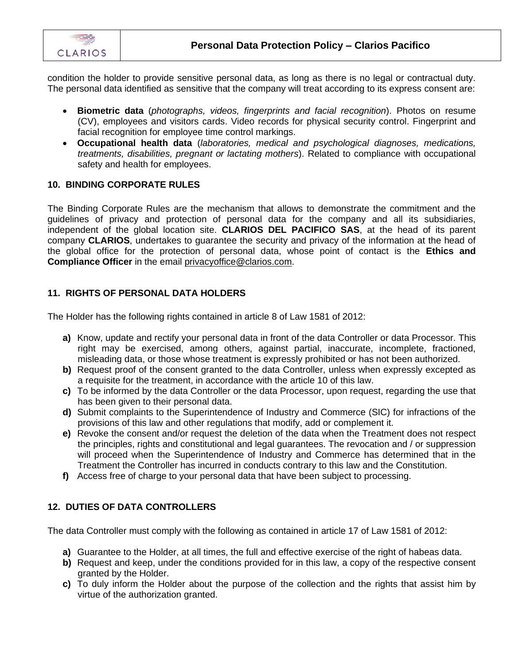

condition the holder to provide sensitive personal data, as long as there is no legal or contractual duty. The personal data identified as sensitive that the company will treat according to its express consent are:

- **Biometric data** (*photographs, videos, fingerprints and facial recognition*). Photos on resume (CV), employees and visitors cards. Video records for physical security control. Fingerprint and facial recognition for employee time control markings.
- **Occupational health data** (*laboratories, medical and psychological diagnoses, medications, treatments, disabilities, pregnant or lactating mothers*). Related to compliance with occupational safety and health for employees.

#### **10. BINDING CORPORATE RULES**

The Binding Corporate Rules are the mechanism that allows to demonstrate the commitment and the guidelines of privacy and protection of personal data for the company and all its subsidiaries, independent of the global location site. **CLARIOS DEL PACIFICO SAS**, at the head of its parent company **CLARIOS**, undertakes to guarantee the security and privacy of the information at the head of the global office for the protection of personal data, whose point of contact is the **Ethics and Compliance Officer** in the email privacyoffice@clarios.com.

#### **11. RIGHTS OF PERSONAL DATA HOLDERS**

The Holder has the following rights contained in article 8 of Law 1581 of 2012:

- **a)** Know, update and rectify your personal data in front of the data Controller or data Processor. This right may be exercised, among others, against partial, inaccurate, incomplete, fractioned, misleading data, or those whose treatment is expressly prohibited or has not been authorized.
- **b)** Request proof of the consent granted to the data Controller, unless when expressly excepted as a requisite for the treatment, in accordance with the article 10 of this law.
- **c)** To be informed by the data Controller or the data Processor, upon request, regarding the use that has been given to their personal data.
- **d)** Submit complaints to the Superintendence of Industry and Commerce (SIC) for infractions of the provisions of this law and other regulations that modify, add or complement it.
- **e)** Revoke the consent and/or request the deletion of the data when the Treatment does not respect the principles, rights and constitutional and legal guarantees. The revocation and / or suppression will proceed when the Superintendence of Industry and Commerce has determined that in the Treatment the Controller has incurred in conducts contrary to this law and the Constitution.
- **f)** Access free of charge to your personal data that have been subject to processing.

#### **12. DUTIES OF DATA CONTROLLERS**

The data Controller must comply with the following as contained in article 17 of Law 1581 of 2012:

- **a)** Guarantee to the Holder, at all times, the full and effective exercise of the right of habeas data.
- **b)** Request and keep, under the conditions provided for in this law, a copy of the respective consent granted by the Holder.
- **c)** To duly inform the Holder about the purpose of the collection and the rights that assist him by virtue of the authorization granted.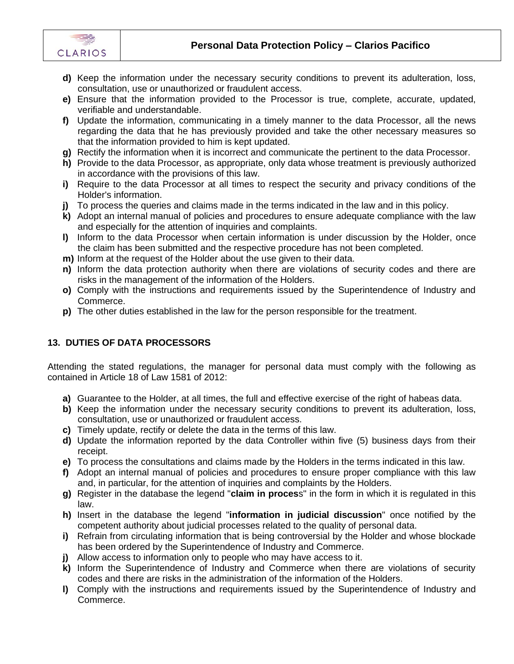



- **d)** Keep the information under the necessary security conditions to prevent its adulteration, loss, consultation, use or unauthorized or fraudulent access.
- **e)** Ensure that the information provided to the Processor is true, complete, accurate, updated, verifiable and understandable.
- **f)** Update the information, communicating in a timely manner to the data Processor, all the news regarding the data that he has previously provided and take the other necessary measures so that the information provided to him is kept updated.
- **g)** Rectify the information when it is incorrect and communicate the pertinent to the data Processor.
- **h)** Provide to the data Processor, as appropriate, only data whose treatment is previously authorized in accordance with the provisions of this law.
- **i)** Require to the data Processor at all times to respect the security and privacy conditions of the Holder's information.
- **i)** To process the queries and claims made in the terms indicated in the law and in this policy.
- **k)** Adopt an internal manual of policies and procedures to ensure adequate compliance with the law and especially for the attention of inquiries and complaints.
- **l)** Inform to the data Processor when certain information is under discussion by the Holder, once the claim has been submitted and the respective procedure has not been completed.
- **m)** Inform at the request of the Holder about the use given to their data.
- **n)** Inform the data protection authority when there are violations of security codes and there are risks in the management of the information of the Holders.
- **o)** Comply with the instructions and requirements issued by the Superintendence of Industry and Commerce.
- **p)** The other duties established in the law for the person responsible for the treatment.

## **13. DUTIES OF DATA PROCESSORS**

Attending the stated regulations, the manager for personal data must comply with the following as contained in Article 18 of Law 1581 of 2012:

- **a)** Guarantee to the Holder, at all times, the full and effective exercise of the right of habeas data.
- **b)** Keep the information under the necessary security conditions to prevent its adulteration, loss, consultation, use or unauthorized or fraudulent access.
- **c)** Timely update, rectify or delete the data in the terms of this law.
- **d)** Update the information reported by the data Controller within five (5) business days from their receipt.
- **e)** To process the consultations and claims made by the Holders in the terms indicated in this law.
- **f)** Adopt an internal manual of policies and procedures to ensure proper compliance with this law and, in particular, for the attention of inquiries and complaints by the Holders.
- **g)** Register in the database the legend "**claim in proces**s" in the form in which it is regulated in this law.
- **h)** Insert in the database the legend "**information in judicial discussion**" once notified by the competent authority about judicial processes related to the quality of personal data.
- **i)** Refrain from circulating information that is being controversial by the Holder and whose blockade has been ordered by the Superintendence of Industry and Commerce.
- **j)** Allow access to information only to people who may have access to it.
- **k)** Inform the Superintendence of Industry and Commerce when there are violations of security codes and there are risks in the administration of the information of the Holders.
- **l)** Comply with the instructions and requirements issued by the Superintendence of Industry and Commerce.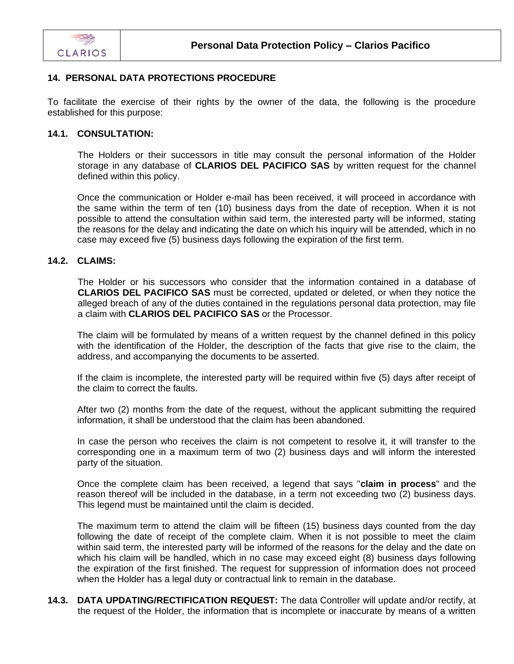

### **14. PERSONAL DATA PROTECTIONS PROCEDURE**

To facilitate the exercise of their rights by the owner of the data, the following is the procedure established for this purpose:

#### **14.1. CONSULTATION:**

The Holders or their successors in title may consult the personal information of the Holder storage in any database of **CLARIOS DEL PACIFICO SAS** by written request for the channel defined within this policy.

Once the communication or Holder e-mail has been received, it will proceed in accordance with the same within the term of ten (10) business days from the date of reception. When it is not possible to attend the consultation within said term, the interested party will be informed, stating the reasons for the delay and indicating the date on which his inquiry will be attended, which in no case may exceed five (5) business days following the expiration of the first term.

#### **14.2. CLAIMS:**

The Holder or his successors who consider that the information contained in a database of **CLARIOS DEL PACIFICO SAS** must be corrected, updated or deleted, or when they notice the alleged breach of any of the duties contained in the regulations personal data protection, may file a claim with **CLARIOS DEL PACIFICO SAS** or the Processor.

The claim will be formulated by means of a written request by the channel defined in this policy with the identification of the Holder, the description of the facts that give rise to the claim, the address, and accompanying the documents to be asserted.

If the claim is incomplete, the interested party will be required within five (5) days after receipt of the claim to correct the faults.

After two (2) months from the date of the request, without the applicant submitting the required information, it shall be understood that the claim has been abandoned.

In case the person who receives the claim is not competent to resolve it, it will transfer to the corresponding one in a maximum term of two (2) business days and will inform the interested party of the situation.

Once the complete claim has been received, a legend that says "**claim in process**" and the reason thereof will be included in the database, in a term not exceeding two (2) business days. This legend must be maintained until the claim is decided.

The maximum term to attend the claim will be fifteen (15) business days counted from the day following the date of receipt of the complete claim. When it is not possible to meet the claim within said term, the interested party will be informed of the reasons for the delay and the date on which his claim will be handled, which in no case may exceed eight (8) business days following the expiration of the first finished. The request for suppression of information does not proceed when the Holder has a legal duty or contractual link to remain in the database.

**14.3. DATA UPDATING/RECTIFICATION REQUEST:** The data Controller will update and/or rectify, at the request of the Holder, the information that is incomplete or inaccurate by means of a written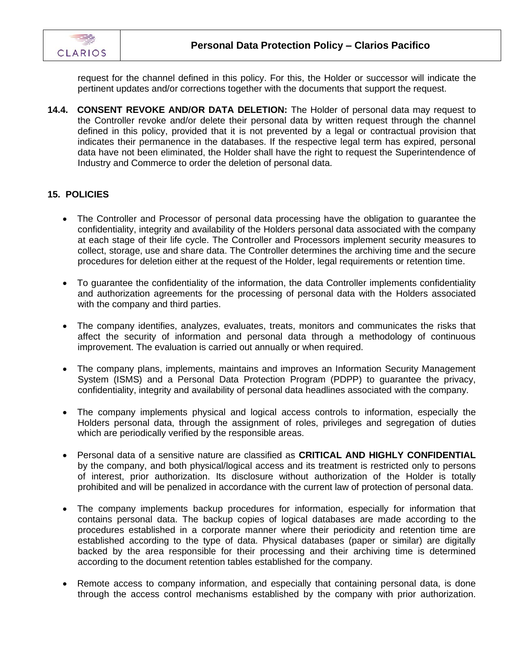

request for the channel defined in this policy. For this, the Holder or successor will indicate the pertinent updates and/or corrections together with the documents that support the request.

**14.4. CONSENT REVOKE AND/OR DATA DELETION:** The Holder of personal data may request to the Controller revoke and/or delete their personal data by written request through the channel defined in this policy, provided that it is not prevented by a legal or contractual provision that indicates their permanence in the databases. If the respective legal term has expired, personal data have not been eliminated, the Holder shall have the right to request the Superintendence of Industry and Commerce to order the deletion of personal data.

#### **15. POLICIES**

- The Controller and Processor of personal data processing have the obligation to guarantee the confidentiality, integrity and availability of the Holders personal data associated with the company at each stage of their life cycle. The Controller and Processors implement security measures to collect, storage, use and share data. The Controller determines the archiving time and the secure procedures for deletion either at the request of the Holder, legal requirements or retention time.
- To guarantee the confidentiality of the information, the data Controller implements confidentiality and authorization agreements for the processing of personal data with the Holders associated with the company and third parties.
- The company identifies, analyzes, evaluates, treats, monitors and communicates the risks that affect the security of information and personal data through a methodology of continuous improvement. The evaluation is carried out annually or when required.
- The company plans, implements, maintains and improves an Information Security Management System (ISMS) and a Personal Data Protection Program (PDPP) to guarantee the privacy, confidentiality, integrity and availability of personal data headlines associated with the company.
- The company implements physical and logical access controls to information, especially the Holders personal data, through the assignment of roles, privileges and segregation of duties which are periodically verified by the responsible areas.
- Personal data of a sensitive nature are classified as **CRITICAL AND HIGHLY CONFIDENTIAL** by the company, and both physical/logical access and its treatment is restricted only to persons of interest, prior authorization. Its disclosure without authorization of the Holder is totally prohibited and will be penalized in accordance with the current law of protection of personal data.
- The company implements backup procedures for information, especially for information that contains personal data. The backup copies of logical databases are made according to the procedures established in a corporate manner where their periodicity and retention time are established according to the type of data. Physical databases (paper or similar) are digitally backed by the area responsible for their processing and their archiving time is determined according to the document retention tables established for the company.
- Remote access to company information, and especially that containing personal data, is done through the access control mechanisms established by the company with prior authorization.